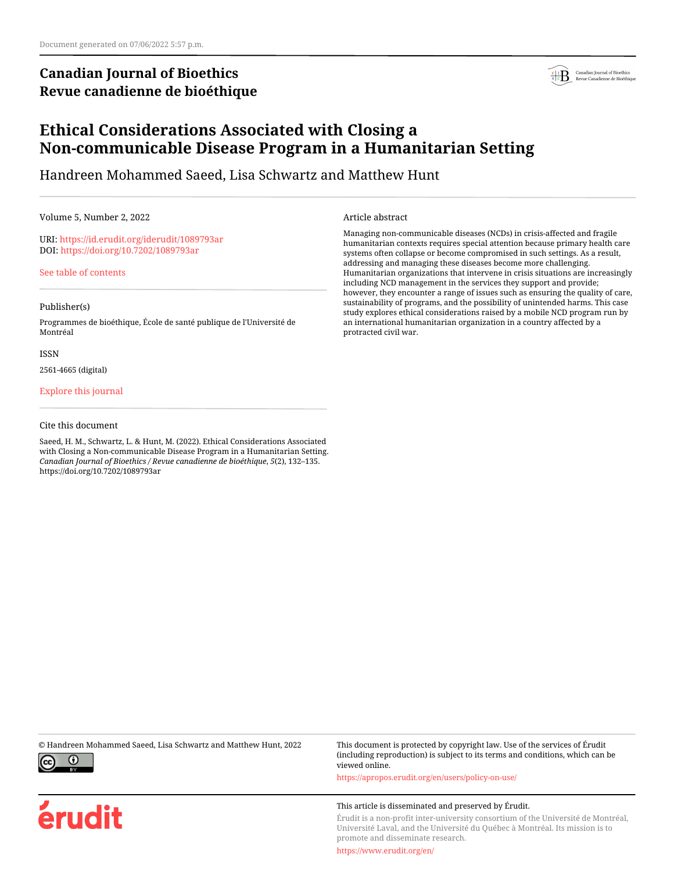# **Canadian Journal of Bioethics Revue canadienne de bioéthique**



# **Ethical Considerations Associated with Closing a Non-communicable Disease Program in a Humanitarian Setting**

Handreen Mohammed Saeed, Lisa Schwartz and Matthew Hunt

Volume 5, Number 2, 2022

URI:<https://id.erudit.org/iderudit/1089793ar> DOI:<https://doi.org/10.7202/1089793ar>

[See table of contents](https://www.erudit.org/en/journals/bioethics/2022-v5-n2-bioethics07048/)

### Publisher(s)

Programmes de bioéthique, École de santé publique de l'Université de Montréal

#### ISSN

2561-4665 (digital)

### [Explore this journal](https://www.erudit.org/en/journals/bioethics/)

#### Cite this document

Saeed, H. M., Schwartz, L. & Hunt, M. (2022). Ethical Considerations Associated with Closing a Non-communicable Disease Program in a Humanitarian Setting. *Canadian Journal of Bioethics / Revue canadienne de bioéthique*, *5*(2), 132–135. https://doi.org/10.7202/1089793ar

Article abstract

Managing non-communicable diseases (NCDs) in crisis-affected and fragile humanitarian contexts requires special attention because primary health care systems often collapse or become compromised in such settings. As a result, addressing and managing these diseases become more challenging. Humanitarian organizations that intervene in crisis situations are increasingly including NCD management in the services they support and provide; however, they encounter a range of issues such as ensuring the quality of care, sustainability of programs, and the possibility of unintended harms. This case study explores ethical considerations raised by a mobile NCD program run by an international humanitarian organization in a country affected by a protracted civil war.



érudit

© Handreen Mohammed Saeed, Lisa Schwartz and Matthew Hunt, 2022 This document is protected by copyright law. Use of the services of Érudit (including reproduction) is subject to its terms and conditions, which can be viewed online.

<https://apropos.erudit.org/en/users/policy-on-use/>

#### This article is disseminated and preserved by Érudit.

Érudit is a non-profit inter-university consortium of the Université de Montréal, Université Laval, and the Université du Québec à Montréal. Its mission is to promote and disseminate research.

<https://www.erudit.org/en/>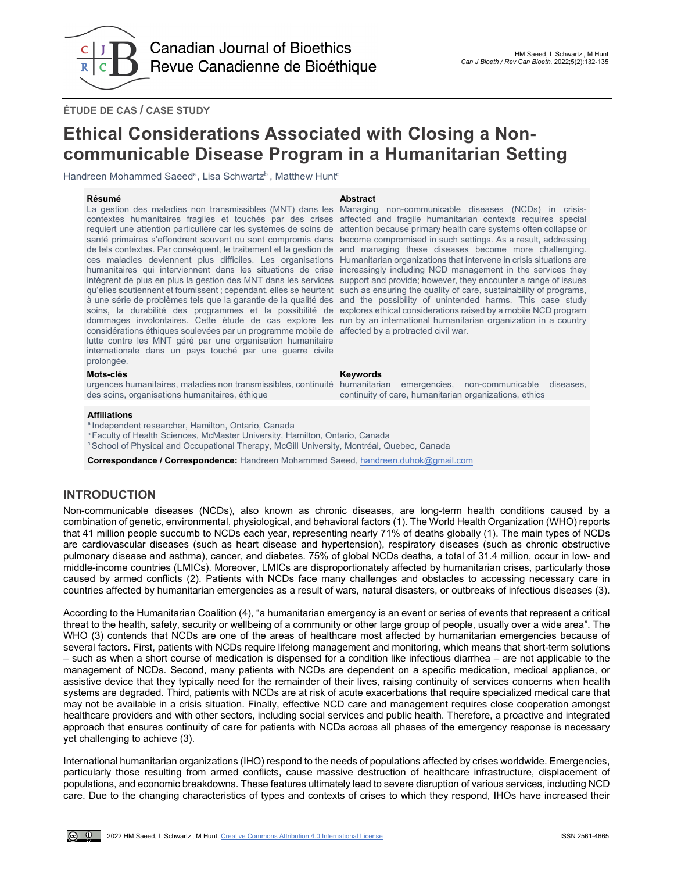

**ÉTUDE DE CAS / CASE STUDY**

# **Ethical Considerations Associated with Closing a Noncommunicable Disease Program in a Humanitarian Setting**

Handreen Mohammed Saeed<sup>a</sup>, Lisa Schwartz<sup>b</sup>, Matthew Hunt<sup>c</sup>

#### **Résumé Abstract**

La gestion des maladies non transmissibles (MNT) dans les contextes humanitaires fragiles et touchés par des crises affected and fragile humanitarian contexts requires special requiert une attention particulière car les systèmes de soins de attention because primary health care systems often collapse or santé primaires s'effondrent souvent ou sont compromis dans become compromised in such settings. As a result, addressing de tels contextes. Par conséquent, le traitement et la gestion de and managing these diseases become more challenging. ces maladies deviennent plus difficiles. Les organisations Humanitarian organizations that intervene in crisis situations are humanitaires qui interviennent dans les situations de crise increasingly including NCD management in the services they intègrent de plus en plus la gestion des MNT dans les services support and provide; however, they encounter a range of issues qu'elles soutiennent et fournissent ; cependant, elles se heurtent à une série de problèmes tels que la garantie de la qualité des and the possibility of unintended harms. This case study soins, la durabilité des programmes et la possibilité de explores ethical considerations raised by a mobile NCD program dommages involontaires. Cette étude de cas explore les run by an international humanitarian organization in a country considérations éthiques soulevées par un programme mobile de affected by a protracted civil war. lutte contre les MNT géré par une organisation humanitaire internationale dans un pays touché par une guerre civile prolongée.

Managing non-communicable diseases (NCDs) in crisissuch as ensuring the quality of care, sustainability of programs,

#### **Mots-clés Keywords**

urgences humanitaires, maladies non transmissibles, continuité humanitarian emergencies, non-communicable diseases, continuity of care, humanitarian organizations, ethics

des soins, organisations humanitaires, éthique

#### **Affiliations**

a Independent researcher, Hamilton, Ontario, Canada

**b Faculty of Health Sciences, McMaster University, Hamilton, Ontario, Canada** 

c School of Physical and Occupational Therapy, McGill University, Montréal, Quebec, Canada

**Correspondance / Correspondence:** Handreen Mohammed Saeed[, handreen.duhok@gmail.com](mailto:handreen.duhok@gmail.com)

# **INTRODUCTION**

Non-communicable diseases (NCDs), also known as chronic diseases, are long-term health conditions caused by a combination of genetic, environmental, physiological, and behavioral factors (1). The World Health Organization (WHO) reports that 41 million people succumb to NCDs each year, representing nearly 71% of deaths globally (1). The main types of NCDs are cardiovascular diseases (such as heart disease and hypertension), respiratory diseases (such as chronic obstructive pulmonary disease and asthma), cancer, and diabetes. 75% of global NCDs deaths, a total of 31.4 million, occur in low- and middle-income countries (LMICs). Moreover, LMICs are disproportionately affected by humanitarian crises, particularly those caused by armed conflicts (2). Patients with NCDs face many challenges and obstacles to accessing necessary care in countries affected by humanitarian emergencies as a result of wars, natural disasters, or outbreaks of infectious diseases (3).

According to the Humanitarian Coalition (4), "a humanitarian emergency is an event or series of events that represent a critical threat to the health, safety, security or wellbeing of a community or other large group of people, usually over a wide area". The WHO (3) contends that NCDs are one of the areas of healthcare most affected by humanitarian emergencies because of several factors. First, patients with NCDs require lifelong management and monitoring, which means that short-term solutions – such as when a short course of medication is dispensed for a condition like infectious diarrhea – are not applicable to the management of NCDs. Second, many patients with NCDs are dependent on a specific medication, medical appliance, or assistive device that they typically need for the remainder of their lives, raising continuity of services concerns when health systems are degraded. Third, patients with NCDs are at risk of acute exacerbations that require specialized medical care that may not be available in a crisis situation. Finally, effective NCD care and management requires close cooperation amongst healthcare providers and with other sectors, including social services and public health. Therefore, a proactive and integrated approach that ensures continuity of care for patients with NCDs across all phases of the emergency response is necessary yet challenging to achieve (3).

International humanitarian organizations (IHO) respond to the needs of populations affected by crises worldwide. Emergencies, particularly those resulting from armed conflicts, cause massive destruction of healthcare infrastructure, displacement of populations, and economic breakdowns. These features ultimately lead to severe disruption of various services, including NCD care. Due to the changing characteristics of types and contexts of crises to which they respond, IHOs have increased their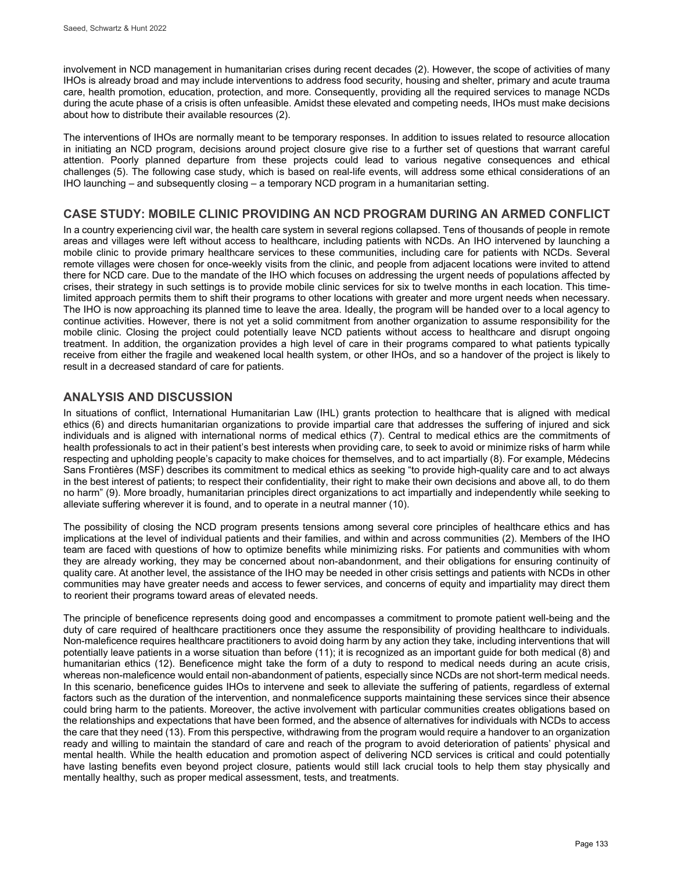involvement in NCD management in humanitarian crises during recent decades (2). However, the scope of activities of many IHOs is already broad and may include interventions to address food security, housing and shelter, primary and acute trauma care, health promotion, education, protection, and more. Consequently, providing all the required services to manage NCDs during the acute phase of a crisis is often unfeasible. Amidst these elevated and competing needs, IHOs must make decisions about how to distribute their available resources (2).

The interventions of IHOs are normally meant to be temporary responses. In addition to issues related to resource allocation in initiating an NCD program, decisions around project closure give rise to a further set of questions that warrant careful attention. Poorly planned departure from these projects could lead to various negative consequences and ethical challenges (5). The following case study, which is based on real-life events, will address some ethical considerations of an IHO launching – and subsequently closing – a temporary NCD program in a humanitarian setting.

# **CASE STUDY: MOBILE CLINIC PROVIDING AN NCD PROGRAM DURING AN ARMED CONFLICT**

In a country experiencing civil war, the health care system in several regions collapsed. Tens of thousands of people in remote areas and villages were left without access to healthcare, including patients with NCDs. An IHO intervened by launching a mobile clinic to provide primary healthcare services to these communities, including care for patients with NCDs. Several remote villages were chosen for once-weekly visits from the clinic, and people from adjacent locations were invited to attend there for NCD care. Due to the mandate of the IHO which focuses on addressing the urgent needs of populations affected by crises, their strategy in such settings is to provide mobile clinic services for six to twelve months in each location. This timelimited approach permits them to shift their programs to other locations with greater and more urgent needs when necessary. The IHO is now approaching its planned time to leave the area. Ideally, the program will be handed over to a local agency to continue activities. However, there is not yet a solid commitment from another organization to assume responsibility for the mobile clinic. Closing the project could potentially leave NCD patients without access to healthcare and disrupt ongoing treatment. In addition, the organization provides a high level of care in their programs compared to what patients typically receive from either the fragile and weakened local health system, or other IHOs, and so a handover of the project is likely to result in a decreased standard of care for patients.

# **ANALYSIS AND DISCUSSION**

In situations of conflict, International Humanitarian Law (IHL) grants protection to healthcare that is aligned with medical ethics (6) and directs humanitarian organizations to provide impartial care that addresses the suffering of injured and sick individuals and is aligned with international norms of medical ethics (7). Central to medical ethics are the commitments of health professionals to act in their patient's best interests when providing care, to seek to avoid or minimize risks of harm while respecting and upholding people's capacity to make choices for themselves, and to act impartially (8). For example, Médecins Sans Frontières (MSF) describes its commitment to medical ethics as seeking "to provide high-quality care and to act always in the best interest of patients; to respect their confidentiality, their right to make their own decisions and above all, to do them no harm" (9). More broadly, humanitarian principles direct organizations to act impartially and independently while seeking to alleviate suffering wherever it is found, and to operate in a neutral manner (10).

The possibility of closing the NCD program presents tensions among several core principles of healthcare ethics and has implications at the level of individual patients and their families, and within and across communities (2). Members of the IHO team are faced with questions of how to optimize benefits while minimizing risks. For patients and communities with whom they are already working, they may be concerned about non-abandonment, and their obligations for ensuring continuity of quality care. At another level, the assistance of the IHO may be needed in other crisis settings and patients with NCDs in other communities may have greater needs and access to fewer services, and concerns of equity and impartiality may direct them to reorient their programs toward areas of elevated needs.

The principle of beneficence represents doing good and encompasses a commitment to promote patient well-being and the duty of care required of healthcare practitioners once they assume the responsibility of providing healthcare to individuals. Non-maleficence requires healthcare practitioners to avoid doing harm by any action they take, including interventions that will potentially leave patients in a worse situation than before (11); it is recognized as an important guide for both medical (8) and humanitarian ethics (12). Beneficence might take the form of a duty to respond to medical needs during an acute crisis, whereas non-maleficence would entail non-abandonment of patients, especially since NCDs are not short-term medical needs. In this scenario, beneficence guides IHOs to intervene and seek to alleviate the suffering of patients, regardless of external factors such as the duration of the intervention, and nonmaleficence supports maintaining these services since their absence could bring harm to the patients. Moreover, the active involvement with particular communities creates obligations based on the relationships and expectations that have been formed, and the absence of alternatives for individuals with NCDs to access the care that they need (13). From this perspective, withdrawing from the program would require a handover to an organization ready and willing to maintain the standard of care and reach of the program to avoid deterioration of patients' physical and mental health. While the health education and promotion aspect of delivering NCD services is critical and could potentially have lasting benefits even beyond project closure, patients would still lack crucial tools to help them stay physically and mentally healthy, such as proper medical assessment, tests, and treatments.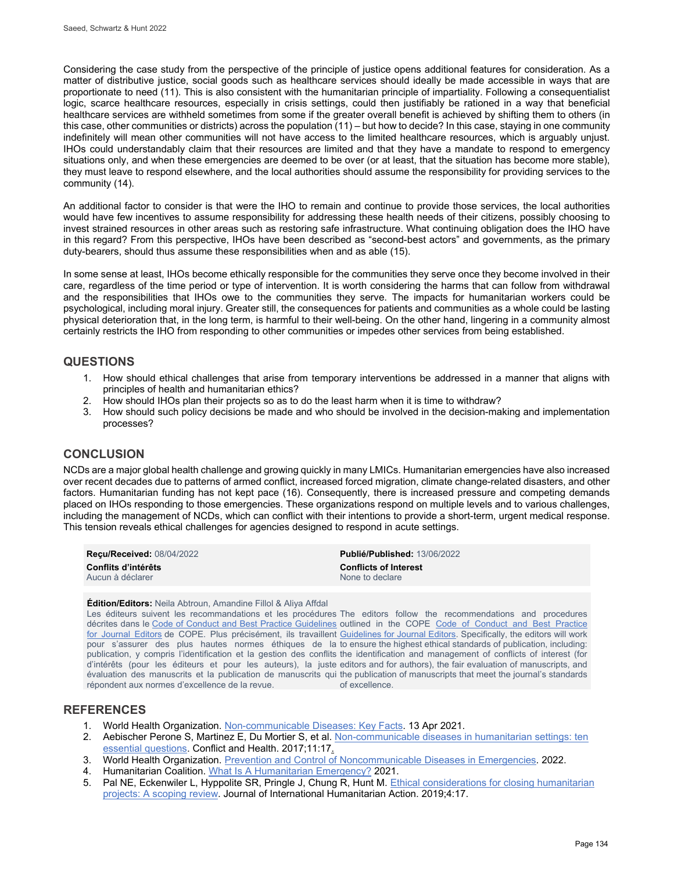Considering the case study from the perspective of the principle of justice opens additional features for consideration. As a matter of distributive justice, social goods such as healthcare services should ideally be made accessible in ways that are proportionate to need (11). This is also consistent with the humanitarian principle of impartiality. Following a consequentialist logic, scarce healthcare resources, especially in crisis settings, could then justifiably be rationed in a way that beneficial healthcare services are withheld sometimes from some if the greater overall benefit is achieved by shifting them to others (in this case, other communities or districts) across the population (11) – but how to decide? In this case, staying in one community indefinitely will mean other communities will not have access to the limited healthcare resources, which is arguably unjust. IHOs could understandably claim that their resources are limited and that they have a mandate to respond to emergency situations only, and when these emergencies are deemed to be over (or at least, that the situation has become more stable), they must leave to respond elsewhere, and the local authorities should assume the responsibility for providing services to the community (14).

An additional factor to consider is that were the IHO to remain and continue to provide those services, the local authorities would have few incentives to assume responsibility for addressing these health needs of their citizens, possibly choosing to invest strained resources in other areas such as restoring safe infrastructure. What continuing obligation does the IHO have in this regard? From this perspective, IHOs have been described as "second-best actors" and governments, as the primary duty-bearers, should thus assume these responsibilities when and as able (15).

In some sense at least, IHOs become ethically responsible for the communities they serve once they become involved in their care, regardless of the time period or type of intervention. It is worth considering the harms that can follow from withdrawal and the responsibilities that IHOs owe to the communities they serve. The impacts for humanitarian workers could be psychological, including moral injury. Greater still, the consequences for patients and communities as a whole could be lasting physical deterioration that, in the long term, is harmful to their well-being. On the other hand, lingering in a community almost certainly restricts the IHO from responding to other communities or impedes other services from being established.

## **QUESTIONS**

- 1. How should ethical challenges that arise from temporary interventions be addressed in a manner that aligns with principles of health and humanitarian ethics?
- 2. How should IHOs plan their projects so as to do the least harm when it is time to withdraw?
- 3. How should such policy decisions be made and who should be involved in the decision-making and implementation processes?

# **CONCLUSION**

NCDs are a major global health challenge and growing quickly in many LMICs. Humanitarian emergencies have also increased over recent decades due to patterns of armed conflict, increased forced migration, climate change-related disasters, and other factors. Humanitarian funding has not kept pace (16). Consequently, there is increased pressure and competing demands placed on IHOs responding to those emergencies. These organizations respond on multiple levels and to various challenges, including the management of NCDs, which can conflict with their intentions to provide a short-term, urgent medical response. This tension reveals ethical challenges for agencies designed to respond in acute settings.

| <b>Recu/Received: 08/04/2022</b> | <b>Publié/Published: 13/06/2022</b> |
|----------------------------------|-------------------------------------|
| Conflits d'intérêts              | <b>Conflicts of Interest</b>        |
| Aucun à déclarer                 | None to declare                     |

**Édition/Editors:** Neila Abtroun, Amandine Fillol & Aliya Affdal

Les éditeurs suivent les recommandations et les procédures The editors follow the recommendations and procedures décrites dans le [Code of Conduct and Best Practice Guidelines](http://publicationethics.org/resources/code-conduct) outlined in the COPE Code of Conduct and Best Practice <u>[for Journal Editors](http://publicationethics.org/resources/code-conduct)</u> de COPE. Plus précisément, ils travaillent <u>Guidelines for Journal Editors</u>. Specifically, the editors will work pour s'assurer des plus hautes normes éthiques de la to ensure the highest ethical standards of publication, including: publication, y compris l'identification et la gestion des conflits the identification and management of conflicts of interest (for d'intérêts (pour les éditeurs et pour les auteurs), la juste editors and for authors), the fair evaluation of manuscripts, and évaluation des manuscrits et la publication de manuscrits qui the publication of manuscripts that meet the journal's standards répondent aux normes d'excellence de la revue.

of excellence.

## **REFERENCES**

- 1. World Health Organization. [Non-communicable Diseases: Key Facts.](https://www.who.int/news-room/fact-sheets/detail/noncommunicable-diseases) 13 Apr 2021.
- 2. Aebischer Perone S, Martinez E, Du Mortier S, et al. Non-communicable diseases in humanitarian settings: ten [essential questions.](https://conflictandhealth.biomedcentral.com/articles/10.1186/s13031-017-0119-8) Conflict and Health. 2017;11:17.
- 3. World Health Organization. [Prevention and Control of Noncommunicable Diseases in Emergencies.](http://www.emro.who.int/noncommunicable-diseases/publications/questions-and-answers-on-prevention-and-control-of-noncommunicable-diseases-in-emergencies.html) 2022.
- 4. Humanitarian Coalition[. What Is A Humanitarian Emergency?](https://www.humanitariancoalition.ca/what-is-a-humanitarian-emergency) 2021.
- 5. Pal NE, Eckenwiler L, Hyppolite SR, Pringle J, Chung R, Hunt M[. Ethical considerations for closing humanitarian](https://jhumanitarianaction.springeropen.com/articles/10.1186/s41018-019-0064-9)  [projects: A scoping review.](https://jhumanitarianaction.springeropen.com/articles/10.1186/s41018-019-0064-9) Journal of International Humanitarian Action. 2019;4:17.